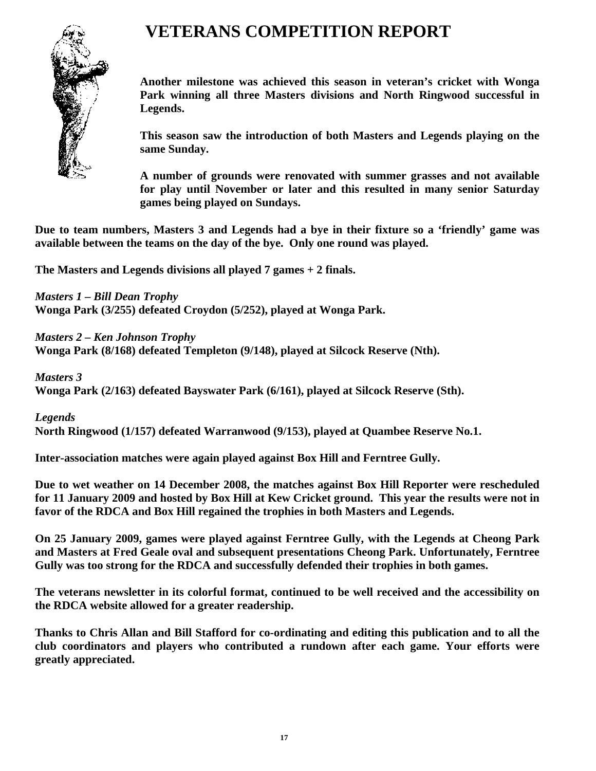

## **VETERANS COMPETITION REPORT**

**Another milestone was achieved this season in veteran's cricket with Wonga Park winning all three Masters divisions and North Ringwood successful in Legends.** 

**This season saw the introduction of both Masters and Legends playing on the same Sunday.** 

**A number of grounds were renovated with summer grasses and not available for play until November or later and this resulted in many senior Saturday games being played on Sundays.** 

**Due to team numbers, Masters 3 and Legends had a bye in their fixture so a 'friendly' game was available between the teams on the day of the bye. Only one round was played.** 

**The Masters and Legends divisions all played 7 games + 2 finals.** 

*Masters 1 – Bill Dean Trophy* 

**Wonga Park (3/255) defeated Croydon (5/252), played at Wonga Park.** 

*Masters 2 – Ken Johnson Trophy* 

**Wonga Park (8/168) defeated Templeton (9/148), played at Silcock Reserve (Nth).** 

*Masters 3* 

**Wonga Park (2/163) defeated Bayswater Park (6/161), played at Silcock Reserve (Sth).** 

*Legends* 

**North Ringwood (1/157) defeated Warranwood (9/153), played at Quambee Reserve No.1.** 

**Inter-association matches were again played against Box Hill and Ferntree Gully.** 

**Due to wet weather on 14 December 2008, the matches against Box Hill Reporter were rescheduled for 11 January 2009 and hosted by Box Hill at Kew Cricket ground. This year the results were not in favor of the RDCA and Box Hill regained the trophies in both Masters and Legends.** 

**On 25 January 2009, games were played against Ferntree Gully, with the Legends at Cheong Park and Masters at Fred Geale oval and subsequent presentations Cheong Park. Unfortunately, Ferntree Gully was too strong for the RDCA and successfully defended their trophies in both games.** 

**The veterans newsletter in its colorful format, continued to be well received and the accessibility on the RDCA website allowed for a greater readership.** 

**Thanks to Chris Allan and Bill Stafford for co-ordinating and editing this publication and to all the club coordinators and players who contributed a rundown after each game. Your efforts were greatly appreciated.**